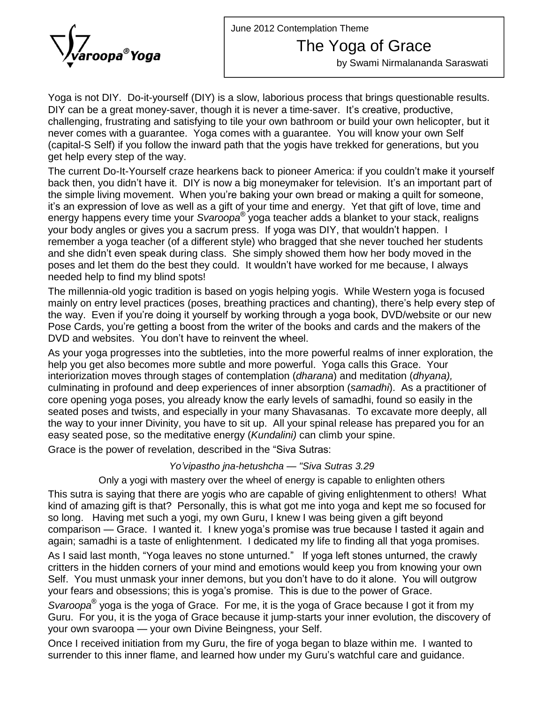June 2012 Contemplation Theme



The Yoga of Grace

by Swami Nirmalananda Saraswati

Yoga is not DIY. Do-it-yourself (DIY) is a slow, laborious process that brings questionable results. Yoga is not DIY. Do-it-yourself (DIY) is a slow, laborious process that brings questionable resu<br>DIY can be a great money-saver, though it is never a time-saver. It's creative, productive, challenging, frustrating and satisfying to tile your own bathroom or build your own helicopter, but it never comes with a guarantee. Yoga comes with a guarantee. You will know your own Self (capital-S Self) if you follow the inward path that the yogis have trekked for generations, but you get help every step of the way. (capital-S Self) if you follow the inward path that the yogis have trekked for generations, but you<br>get help every step of the way.<br>The current Do-It-Yourself craze hearkens back to pioneer America: if you couldn't make it

get help every step of the way.<br>The current Do-It-Yourself craze hearkens back to pioneer America: if you couldn't make it yourself<br>back then, you didn't have it. DIY is now a big moneymaker for television. It's an impor The current Do-It-Yourself craze hearkens back to pioneer America: if you couldn't make it yourself<br>back then, you didn't have it. DIY is now a big moneymaker for television. It's an important part of<br>the simple living mov back then, you didn't have it. DIY is now a big moneymaker for television. It's an important part of the simple living movement. When you're baking your own bread or making a quilt for someone, it's an expression of love a energy happens every time your S*varoopa*® yoga teacher adds a blanket to your stack, realigns the simple living movement. When you're baking your own bread or making a quilt for someone, it's an expression of love as well as a gift of your time and energy. Yet that gift of love, time a<br>energy happens every time your Svaroopa® yoga teacher adds a blanket to your stack, realig<br>your body angles or gives you a remember a yoga teacher (of a different style) who bragged that she never touched her students your body angles or gives you a sacrum press. If yoga was DIY, that wouldn't happen. I and she didn't even speak during class. She simply showed them how her body moved in the poses and let them do the best they could. It wouldn't have worked for me because, I always needed help to find my blind spots!

The millennia-old yogic tradition is based on yogis helping yogis. While Western yoga is focused needed help to find my blind spots!<br>The millennia-old yogic tradition is based on yogis helping yogis. While Western yoga is focused<br>mainly on entry level practices (poses, breathing practices and chanting), there's help The millennia-old yogic tradition is based on yogis helping yogis. While Western yoga is focused<br>mainly on entry level practices (poses, breathing practices and chanting), there's help every step of<br>the way. Even if you' mainly on entry level practices (poses, breathing practices and chanting), there's help every step of<br>the way. Even if you're doing it yourself by working through a yoga book, DVD/website or our new<br>Pose Cards, you're gett the way. Even if you're doing it yourself by working through a yoga book, DVD/website or our new<br>Pose Cards, you're getting a boost from the writer of the books and cards and the makers of the<br>DVD and websites. You don't h

As your yoga progresses into the subtleties, into the more powerful realms of inner exploration, the help you get also becomes more subtle and more powerful. Yoga calls this Grace. Your interiorization moves through stages of contemplation (dharana) and meditation (dhyana), culminating in profound and deep experiences of inner absorption (samadhi). As a practitioner of core opening yoga poses, you already know the early levels of samadhi, found so easily in the seated poses and twists, and especially in your many Shavasanas. To excavate more deeply, all the way to your inner Divinity, you have to sit up. All your spinal release has prepared you for an<br>easy seated pose, so the meditative energy (*Kundalini)* can climb your spine.<br>Grace is the power of revelation, describe easy seated pose, so the meditative energy (Kundalini) can climb your spine.

Grace is the power of revelation, described in the "Siva Sutras:<br>*Yo'vipastho ina-hetushcha — "Siva Sutras 3.29* 

Only a yogi with mastery over the wheel of energy is capable to enlighten others

This sutra is saying that there are yogis who are capable of giving enlightenment to others! What kind of amazing gift is that? Personally, this is what got me into yoga and kept me so focused for<br>so long. Having met such a yogi, my own Guru, I knew I was being given a gift beyond<br>comparison — Grace. I wanted it. I kne so long. Having met such a yogi, my own Guru, I knew I was being given a gift beyond again; samadhi is a taste of enlightenment. I dedicated my life to finding all that yoga promises. comparison — Grace. I wanted it. I knew yoga's promise was true because I tasted it again and again; samadhi is a taste of enlightenment. I dedicated my life to finding all that yoga promises.<br>As I said last month, "Yoga l

critters in the hidden corners of your mind and emotions would keep you from knowing your own As I said last month, "Yoga leaves no stone unturned." If yoga left stones unturned, the crawly<br>critters in the hidden corners of your mind and emotions would keep you from knowing your own<br>Self. You must unmask your inner your fears has meaning a regardered in stream and amotions would keep you from knowing you.<br>Self. You must unmask your inner demons, but you don't have to do it alone. You will out<br>your fears and obsessions; this is yoga's Self. You must unmask your inner demons, but you don't have to do it alone. You will outgrow your fears and obsessions; this is yoga's promise. This is due to the power of Grace.

S*varoopa*<sup>®</sup> yoga is the yoga of Grace. For me, it is the yoga of Grace because I got it from my<br>Guru. For you, it is the yoga of Grace because it jump-starts your inner evolution, the discovery of<br>your own svaroopa — you Guru. For you, it is the yoga of Grace because it jump-starts your inner evolution, the discovery of

Once I received initiation from my Guru, the fire of yoga began to blaze within me. I wanted to your own svaroopa — your own Divine Beingness, your Self.<br>Once I received initiation from my Guru, the fire of yoga began to blaze within me. I wanted t<br>surrender to this inner flame, and learned how under my Guru's watchf